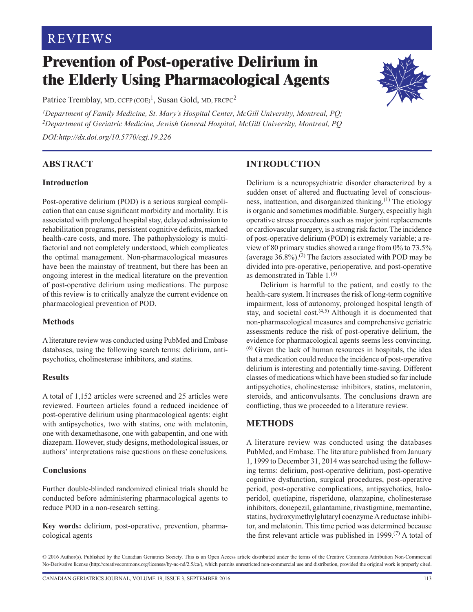# **REVIEWS**

# **Prevention of Post-operative Delirium in the Elderly Using Pharmacological Agents**

Patrice Tremblay, MD, CCFP  $(COE)^1$ , Susan Gold, MD, FRCPC<sup>2</sup>

*1Department of Family Medicine, St. Mary's Hospital Center, McGill University, Montreal, PQ; 2Department of Geriatric Medicine, Jewish General Hospital, McGill University, Montreal, PQ DOI:http://dx.doi.org/10.5770/cgj.19.226*

**ABSTRACT** 

# **Introduction**

Post-operative delirium (POD) is a serious surgical complication that can cause significant morbidity and mortality. It is associated with prolonged hospital stay, delayed admission to rehabilitation programs, persistent cognitive deficits, marked health-care costs, and more. The pathophysiology is multifactorial and not completely understood, which complicates the optimal management. Non-pharmacological measures have been the mainstay of treatment, but there has been an ongoing interest in the medical literature on the prevention of post-operative delirium using medications. The purpose of this review is to critically analyze the current evidence on pharmacological prevention of POD.

#### **Methods**

A literature review was conducted using PubMed and Embase databases, using the following search terms: delirium, antipsychotics, cholinesterase inhibitors, and statins.

#### **Results**

A total of 1,152 articles were screened and 25 articles were reviewed. Fourteen articles found a reduced incidence of post-operative delirium using pharmacological agents: eight with antipsychotics, two with statins, one with melatonin, one with dexamethasone, one with gabapentin, and one with diazepam. However, study designs, methodological issues, or authors' interpretations raise questions on these conclusions.

# **Conclusions**

Further double-blinded randomized clinical trials should be conducted before administering pharmacological agents to reduce POD in a non-research setting.

**Key words:** delirium, post-operative, prevention, pharmacological agents

# **INTRODUCTION**

Delirium is a neuropsychiatric disorder characterized by a sudden onset of altered and fluctuating level of consciousness, inattention, and disorganized thinking.(1) The etiology is organic and sometimes modifiable. Surgery, especially high operative stress procedures such as major joint replacements or cardiovascular surgery, is a strong risk factor. The incidence of post-operative delirium (POD) is extremely variable; a review of 80 primary studies showed a range from 0% to 73.5% (average  $36.8\%$ ).<sup>(2)</sup> The factors associated with POD may be divided into pre-operative, perioperative, and post-operative as demonstrated in Table  $1^{(3)}$ 

Delirium is harmful to the patient, and costly to the health-care system. It increases the risk of long-term cognitive impairment, loss of autonomy, prolonged hospital length of stay, and societal cost. $(4,5)$  Although it is documented that non-pharmacological measures and comprehensive geriatric assessments reduce the risk of post-operative delirium, the evidence for pharmacological agents seems less convincing. (6) Given the lack of human resources in hospitals, the idea that a medication could reduce the incidence of post-operative delirium is interesting and potentially time-saving. Different classes of medications which have been studied so far include antipsychotics, cholinesterase inhibitors, statins, melatonin, steroids, and anticonvulsants. The conclusions drawn are conflicting, thus we proceeded to a literature review.

# **METHODS**

A literature review was conducted using the databases PubMed, and Embase. The literature published from January 1, 1999 to December 31, 2014 was searched using the following terms: delirium, post-operative delirium, post-operative cognitive dysfunction, surgical procedures, post-operative period, post-operative complications, antipsychotics, haloperidol, quetiapine, risperidone, olanzapine, cholinesterase inhibitors, donepezil, galantamine, rivastigmine, memantine, statins, hydroxymethylglutaryl coenzyme A reductase inhibitor, and melatonin. This time period was determined because the first relevant article was published in 1999.<sup>(7)</sup> A total of



<sup>© 2016</sup> Author(s). Published by the Canadian Geriatrics Society. This is an Open Access article distributed under the terms of the Creative Commons Attribution Non-Commercial No-Derivative license ([http://creativecommons.org/licenses/by-nc-nd/2.5/ca/](http://creativecommons.org/licenses/by-nc-nd/2.5/ca)), which permits unrestricted non-commercial use and distribution, provided the original work is properly cited.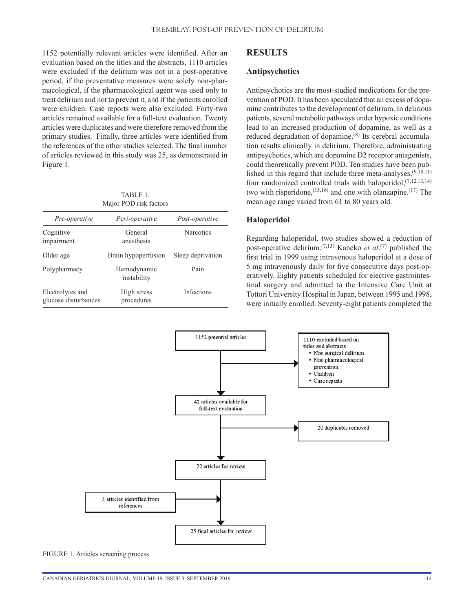1152 potentially relevant articles were identified. After an evaluation based on the titles and the abstracts, 1110 articles were excluded if the delirium was not in a post-operative period, if the preventative measures were solely non-pharmacological, if the pharmacological agent was used only to treat delirium and not to prevent it, and if the patients enrolled were children. Case reports were also excluded. Forty-two articles remained available for a full-text evaluation. Twenty articles were duplicates and were therefore removed from the primary studies. Finally, three articles were identified from the references of the other studies selected. The final number of articles reviewed in this study was 25, as demonstrated in Figure 1.

TARI E 1 Major POD risk factors

| <i>Pre-operative</i>                     | Peri-operative             | Post-operative    |
|------------------------------------------|----------------------------|-------------------|
| Cognitive<br>impairment                  | General<br>anesthesia      | <b>Narcotics</b>  |
| Older age                                | Brain hypoperfusion        | Sleep deprivation |
| Polypharmacy                             | Hemodynamic<br>instability | Pain              |
| Electrolytes and<br>glucose disturbances | High stress<br>procedures  | Infections        |

## **RESULTS**

#### **Antipsychotics**

Antipsychotics are the most-studied medications for the prevention of POD. It has been speculated that an excess of dopamine contributes to the development of delirium. In delirious patients, several metabolic pathways under hypoxic conditions lead to an increased production of dopamine, as well as a reduced degradation of dopamine.<sup>(8)</sup> Its cerebral accumulation results clinically in delirium. Therefore, administrating antipsychotics, which are dopamine D2 receptor antagonists, could theoretically prevent POD. Ten studies have been published in this regard that include three meta-analyses,(9,10,11) four randomized controlled trials with haloperidol,  $(7,12,13,14)$ two with risperidone,  $(15,16)$  and one with olanzapine.  $(17)$  The mean age range varied from 61 to 80 years old.

#### **Haloperidol**

Regarding haloperidol, two studies showed a reduction of post-operative delirium.(7,13) Kaneko *et al*. (7) published the first trial in 1999 using intravenous haloperidol at a dose of 5 mg intravenously daily for five consecutive days post-operatively. Eighty patients scheduled for elective gastrointestinal surgery and admitted to the Intensive Care Unit at Tottori University Hospital in Japan, between 1995 and 1998, were initially enrolled. Seventy-eight patients completed the



FIGURE 1. Articles screening process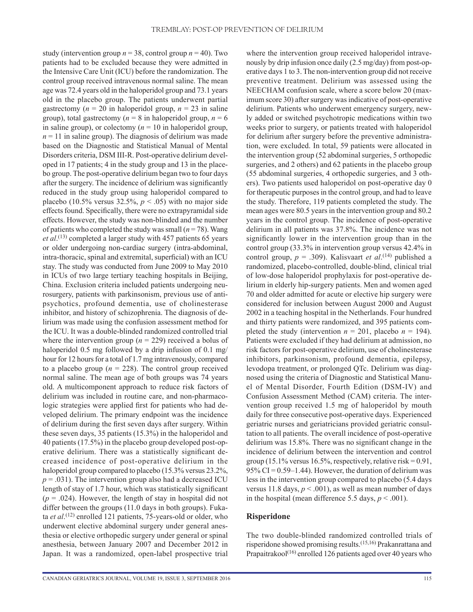study (intervention group  $n = 38$ , control group  $n = 40$ ). Two patients had to be excluded because they were admitted in the Intensive Care Unit (ICU) before the randomization. The control group received intravenous normal saline. The mean age was 72.4 years old in the haloperidol group and 73.1 years old in the placebo group. The patients underwent partial gastrectomy ( $n = 20$  in haloperidol group,  $n = 23$  in saline group), total gastrectomy ( $n = 8$  in haloperidol group,  $n = 6$ in saline group), or colectomy  $(n = 10$  in haloperidol group,  $n = 11$  in saline group). The diagnosis of delirium was made based on the Diagnostic and Statistical Manual of Mental Disorders criteria, DSM III-R. Post-operative delirium developed in 17 patients; 4 in the study group and 13 in the placebo group. The post-operative delirium began two to four days after the surgery. The incidence of delirium was significantly reduced in the study group using haloperidol compared to placebo (10.5% versus  $32.5\%$ ,  $p < .05$ ) with no major side effects found. Specifically, there were no extrapyramidal side effects. However, the study was non-blinded and the number of patients who completed the study was small  $(n = 78)$ . Wang *et al*. (13) completed a larger study with 457 patients 65 years or older undergoing non-cardiac surgery (intra-abdominal, intra-thoracic, spinal and extremital, superficial) with an ICU stay. The study was conducted from June 2009 to May 2010 in ICUs of two large tertiary teaching hospitals in Beijing, China. Exclusion criteria included patients undergoing neurosurgery, patients with parkinsonism, previous use of antipsychotics, profound dementia, use of cholinesterase inhibitor, and history of schizophrenia. The diagnosis of delirium was made using the confusion assessment method for the ICU. It was a double-blinded randomized controlled trial where the intervention group ( $n = 229$ ) received a bolus of haloperidol 0.5 mg followed by a drip infusion of 0.1 mg/ hour for 12 hours for a total of 1.7 mg intravenously, compared to a placebo group  $(n = 228)$ . The control group received normal saline. The mean age of both groups was 74 years old. A multicomponent approach to reduce risk factors of delirium was included in routine care, and non-pharmacologic strategies were applied first for patients who had developed delirium. The primary endpoint was the incidence of delirium during the first seven days after surgery. Within these seven days, 35 patients (15.3%) in the haloperidol and 40 patients (17.5%) in the placebo group developed post-operative delirium. There was a statistically significant decreased incidence of post-operative delirium in the haloperidol group compared to placebo (15.3% versus 23.2%,  $p = .031$ ). The intervention group also had a decreased ICU length of stay of 1.7 hour, which was statistically significant  $(p = .024)$ . However, the length of stay in hospital did not differ between the groups (11.0 days in both groups). Fukata *et al*. (12) enrolled 121 patients, 75-years-old or older, who underwent elective abdominal surgery under general anesthesia or elective orthopedic surgery under general or spinal anesthesia, between January 2007 and December 2012 in Japan. It was a randomized, open-label prospective trial

where the intervention group received haloperidol intravenously by drip infusion once daily (2.5 mg/day) from post-operative days 1 to 3. The non-intervention group did not receive preventive treatment. Delirium was assessed using the NEECHAM confusion scale, where a score below 20 (maximum score 30) after surgery was indicative of post-operative delirium. Patients who underwent emergency surgery, newly added or switched psychotropic medications within two weeks prior to surgery, or patients treated with haloperidol for delirium after surgery before the preventive administration, were excluded. In total, 59 patients were allocated in the intervention group (52 abdominal surgeries, 5 orthopedic surgeries, and 2 others) and 62 patients in the placebo group (55 abdominal surgeries, 4 orthopedic surgeries, and 3 others). Two patients used haloperidol on post-operative day 0 for therapeutic purposes in the control group, and had to leave the study. Therefore, 119 patients completed the study. The mean ages were 80.5 years in the intervention group and 80.2 years in the control group. The incidence of post-operative delirium in all patients was 37.8%. The incidence was not significantly lower in the intervention group than in the control group (33.3% in intervention group versus 42.4% in control group,  $p = .309$ ). Kalisvaart *et al*.<sup>(14)</sup> published a randomized, placebo-controlled, double-blind, clinical trial of low-dose haloperidol prophylaxis for post-operative delirium in elderly hip-surgery patients. Men and women aged 70 and older admitted for acute or elective hip surgery were considered for inclusion between August 2000 and August 2002 in a teaching hospital in the Netherlands. Four hundred and thirty patients were randomized, and 395 patients completed the study (intervention  $n = 201$ , placebo  $n = 194$ ). Patients were excluded if they had delirium at admission, no risk factors for post-operative delirium, use of cholinesterase inhibitors, parkinsonism, profound dementia, epilepsy, levodopa treatment, or prolonged QTc. Delirium was diagnosed using the criteria of Diagnostic and Statistical Manuel of Mental Disorder, Fourth Edition (DSM-IV) and Confusion Assessment Method (CAM) criteria. The intervention group received 1.5 mg of haloperidol by mouth daily for three consecutive post-operative days. Experienced geriatric nurses and geriatricians provided geriatric consultation to all patients. The overall incidence of post-operative delirium was 15.8%. There was no significant change in the incidence of delirium between the intervention and control group (15.1% versus 16.5%, respectively, relative risk =  $0.91$ , 95% CI =  $0.59-1.44$ ). However, the duration of delirium was less in the intervention group compared to placebo (5.4 days versus 11.8 days,  $p < .001$ ), as well as mean number of days in the hospital (mean difference 5.5 days,  $p < .001$ ).

#### **Risperidone**

The two double-blinded randomized controlled trials of risperidone showed promising results.(15,16) Prakanrattana and Prapaitrakool<sup> $(16)$ </sup> enrolled 126 patients aged over 40 years who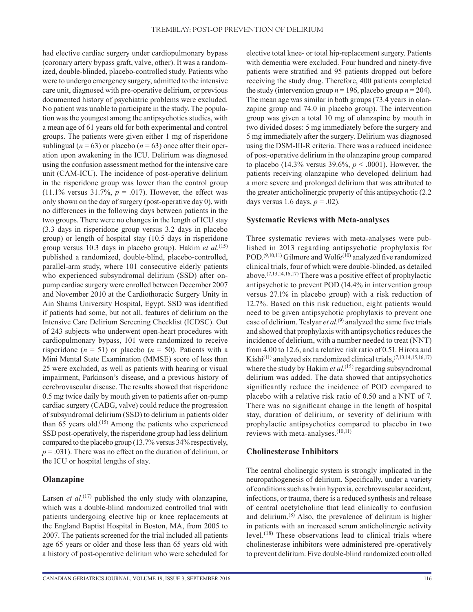had elective cardiac surgery under cardiopulmonary bypass (coronary artery bypass graft, valve, other). It was a randomized, double-blinded, placebo-controlled study. Patients who were to undergo emergency surgery, admitted to the intensive care unit, diagnosed with pre-operative delirium, or previous documented history of psychiatric problems were excluded. No patient was unable to participate in the study. The population was the youngest among the antipsychotics studies, with a mean age of 61 years old for both experimental and control groups. The patients were given either 1 mg of risperidone sublingual ( $n = 63$ ) or placebo ( $n = 63$ ) once after their operation upon awakening in the ICU. Delirium was diagnosed using the confusion assessment method for the intensive care unit (CAM-ICU). The incidence of post-operative delirium in the risperidone group was lower than the control group (11.1% versus 31.7%,  $p = .017$ ). However, the effect was only shown on the day of surgery (post-operative day 0), with no differences in the following days between patients in the two groups. There were no changes in the length of ICU stay (3.3 days in risperidone group versus 3.2 days in placebo group) or length of hospital stay (10.5 days in risperidone group versus 10.3 days in placebo group). Hakim *et al*. (15) published a randomized, double-blind, placebo-controlled, parallel-arm study, where 101 consecutive elderly patients who experienced subsyndromal delirium (SSD) after onpump cardiac surgery were enrolled between December 2007 and November 2010 at the Cardiothoracic Surgery Unity in Ain Shams University Hospital, Egypt. SSD was identified if patients had some, but not all, features of delirium on the Intensive Care Delirium Screening Checklist (ICDSC). Out of 243 subjects who underwent open-heart procedures with cardiopulmonary bypass, 101 were randomized to receive risperidone ( $n = 51$ ) or placebo ( $n = 50$ ). Patients with a Mini Mental State Examination (MMSE) score of less than 25 were excluded, as well as patients with hearing or visual impairment, Parkinson's disease, and a previous history of cerebrovascular disease. The results showed that risperidone 0.5 mg twice daily by mouth given to patients after on-pump cardiac surgery (CABG, valve) could reduce the progression of subsyndromal delirium (SSD) to delirium in patients older than 65 years old.<sup> $(15)$ </sup> Among the patients who experienced SSD post-operatively, the risperidone group had less delirium compared to the placebo group (13.7% versus 34% respectively,  $p = .031$ ). There was no effect on the duration of delirium, or the ICU or hospital lengths of stay.

#### **Olanzapine**

Larsen *et al*.<sup>(17)</sup> published the only study with olanzapine, which was a double-blind randomized controlled trial with patients undergoing elective hip or knee replacements at the England Baptist Hospital in Boston, MA, from 2005 to 2007. The patients screened for the trial included all patients age 65 years or older and those less than 65 years old with a history of post-operative delirium who were scheduled for

elective total knee- or total hip-replacement surgery. Patients with dementia were excluded. Four hundred and ninety-five patients were stratified and 95 patients dropped out before receiving the study drug. Therefore, 400 patients completed the study (intervention group  $n = 196$ , placebo group  $n = 204$ ). The mean age was similar in both groups (73.4 years in olanzapine group and 74.0 in placebo group). The intervention group was given a total 10 mg of olanzapine by mouth in two divided doses: 5 mg immediately before the surgery and 5 mg immediately after the surgery. Delirium was diagnosed using the DSM-III-R criteria. There was a reduced incidence of post-operative delirium in the olanzapine group compared to placebo (14.3% versus 39.6%, *p* < .0001). However, the patients receiving olanzapine who developed delirium had a more severe and prolonged delirium that was attributed to the greater anticholinergic property of this antipsychotic (2.2 days versus 1.6 days,  $p = .02$ ).

#### **Systematic Reviews with Meta-analyses**

Three systematic reviews with meta-analyses were published in 2013 regarding antipsychotic prophylaxis for POD.<sup> $(9,10,11)$ </sup> Gilmore and Wolfe<sup>(10)</sup> analyzed five randomized clinical trials, four of which were double-blinded, as detailed above.<sup> $(7,13,14,16,17)$ </sup> There was a positive effect of prophylactic antipsychotic to prevent POD (14.4% in intervention group versus 27.1% in placebo group) with a risk reduction of 12.7%. Based on this risk reduction, eight patients would need to be given antipsychotic prophylaxis to prevent one case of delirium. Teslyar *et al*. (9) analyzed the same five trials and showed that prophylaxis with antipsychotics reduces the incidence of delirium, with a number needed to treat (NNT) from 4.00 to 12.6, and a relative risk ratio of 0.51. Hirota and Kishi<sup>(11)</sup> analyzed six randomized clinical trials,<sup> $(7,13,14,15,16,17)$ </sup> where the study by Hakim *et al*.<sup>(15)</sup> regarding subsyndromal delirium was added. The data showed that antipsychotics significantly reduce the incidence of POD compared to placebo with a relative risk ratio of 0.50 and a NNT of 7. There was no significant change in the length of hospital stay, duration of delirium, or severity of delirium with prophylactic antipsychotics compared to placebo in two reviews with meta-analyses.<sup>(10,11)</sup>

#### **Cholinesterase Inhibitors**

The central cholinergic system is strongly implicated in the neuropathogenesis of delirium. Specifically, under a variety of conditions such as brain hypoxia, cerebrovascular accident, infections, or trauma, there is a reduced synthesis and release of central acetylcholine that lead clinically to confusion and delirium.(8) Also, the prevalence of delirium is higher in patients with an increased serum anticholinergic activity level.(18) These observations lead to clinical trials where cholinesterase inhibitors were administered pre-operatively to prevent delirium. Five double-blind randomized controlled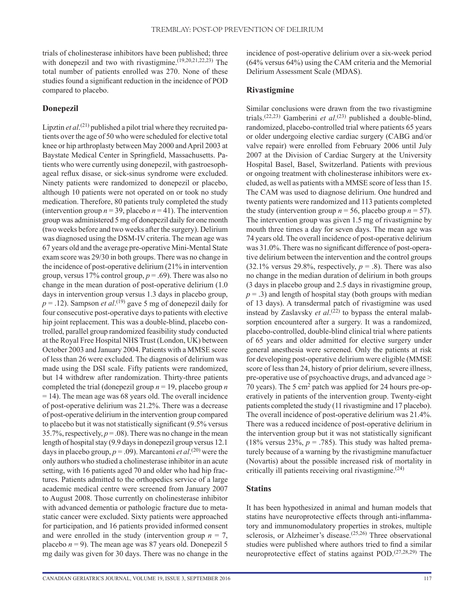trials of cholinesterase inhibitors have been published; three with donepezil and two with rivastigmine.<sup>(19,20,21,22,23)</sup> The total number of patients enrolled was 270. None of these studies found a significant reduction in the incidence of POD compared to placebo.

### **Donepezil**

Lipztin *et al*. (21) published a pilot trial where they recruited patients over the age of 50 who were scheduled for elective total knee or hip arthroplasty between May 2000 and April 2003 at Baystate Medical Center in Springfield, Massachusetts. Patients who were currently using donepezil, with gastroesophageal reflux disase, or sick-sinus syndrome were excluded. Ninety patients were randomized to donepezil or placebo, although 10 patients were not operated on or took no study medication. Therefore, 80 patients truly completed the study (intervention group  $n = 39$ , placebo  $n = 41$ ). The intervention group was administered 5 mg of donepezil daily for one month (two weeks before and two weeks after the surgery). Delirium was diagnosed using the DSM-IV criteria. The mean age was 67 years old and the average pre-operative Mini-Mental State exam score was 29/30 in both groups. There was no change in the incidence of post-operative delirium (21% in intervention group, versus 17% control group,  $p = .69$ ). There was also no change in the mean duration of post-operative delirium (1.0 days in intervention group versus 1.3 days in placebo group,  $p = .12$ ). Sampson *et al*.<sup>(19)</sup> gave 5 mg of donepezil daily for four consecutive post-operative days to patients with elective hip joint replacement. This was a double-blind, placebo controlled, parallel group randomized feasibility study conducted at the Royal Free Hospital NHS Trust (London, UK) between October 2003 and January 2004. Patients with a MMSE score of less than 26 were excluded. The diagnosis of delirium was made using the DSI scale. Fifty patients were randomized, but 14 withdrew after randomization. Thirty-three patients completed the trial (donepezil group *n* = 19, placebo group *n* = 14). The mean age was 68 years old. The overall incidence of post-operative delirium was 21.2%. There was a decrease of post-operative delirium in the intervention group compared to placebo but it was not statistically significant (9.5% versus 35.7%, respectively,  $p = .08$ ). There was no change in the mean length of hospital stay (9.9 days in donepezil group versus 12.1 days in placebo group,  $p = .09$ ). Marcantoni *et al*.<sup>(20)</sup> were the only authors who studied a cholinesterase inhibitor in an acute setting, with 16 patients aged 70 and older who had hip fractures. Patients admitted to the orthopedics service of a large academic medical centre were screened from January 2007 to August 2008. Those currently on cholinesterase inhibitor with advanced dementia or pathologic fracture due to metastatic cancer were excluded. Sixty patients were approached for participation, and 16 patients provided informed consent and were enrolled in the study (intervention group  $n = 7$ , placebo  $n = 9$ ). The mean age was 87 years old. Donepezil 5 mg daily was given for 30 days. There was no change in the

incidence of post-operative delirium over a six-week period (64% versus 64%) using the CAM criteria and the Memorial Delirium Assessment Scale (MDAS).

### **Rivastigmine**

Similar conclusions were drawn from the two rivastigmine trials.(22,23) Gamberini *et al*. (23) published a double-blind, randomized, placebo-controlled trial where patients 65 years or older undergoing elective cardiac surgery (CABG and/or valve repair) were enrolled from February 2006 until July 2007 at the Division of Cardiac Surgery at the University Hospital Basel, Basel, Switzerland. Patients with previous or ongoing treatment with cholinesterase inhibitors were excluded, as well as patients with a MMSE score of less than 15. The CAM was used to diagnose delirium. One hundred and twenty patients were randomized and 113 patients completed the study (intervention group  $n = 56$ , placebo group  $n = 57$ ). The intervention group was given 1.5 mg of rivastigmine by mouth three times a day for seven days. The mean age was 74 years old. The overall incidence of post-operative delirium was 31.0%. There was no significant difference of post-operative delirium between the intervention and the control groups  $(32.1\%$  versus 29.8%, respectively,  $p = .8$ ). There was also no change in the median duration of delirium in both groups (3 days in placebo group and 2.5 days in rivastigmine group,  $p = .3$ ) and length of hospital stay (both groups with median of 13 days). A transdermal patch of rivastigmine was used instead by Zaslavsky *et al.*<sup>(22)</sup> to bypass the enteral malabsorption encountered after a surgery. It was a randomized, placebo-controlled, double-blind clinical trial where patients of 65 years and older admitted for elective surgery under general anesthesia were screened. Only the patients at risk for developing post-operative delirium were eligible (MMSE score of less than 24, history of prior delirium, severe illness, pre-operative use of psychoactive drugs, and advanced age > 70 years). The 5 cm2 patch was applied for 24 hours pre-operatively in patients of the intervention group. Twenty-eight patients completed the study (11 rivastigmine and 17 placebo). The overall incidence of post-operative delirium was 21.4%. There was a reduced incidence of post-operative delirium in the intervention group but it was not statistically significant (18% versus 23%,  $p = .785$ ). This study was halted prematurely because of a warning by the rivastigmine manufactuer (Novartis) about the possible increased risk of mortality in critically ill patients receiving oral rivastigmine.(24)

#### **Statins**

It has been hypothesized in animal and human models that statins have neuroprotective effects through anti-inflammatory and immunomodulatory properties in strokes, multiple sclerosis, or Alzheimer's disease.<sup>(25,26)</sup> Three observational studies were published where authors tried to find a similar neuroprotective effect of statins against POD.(27,28,29) The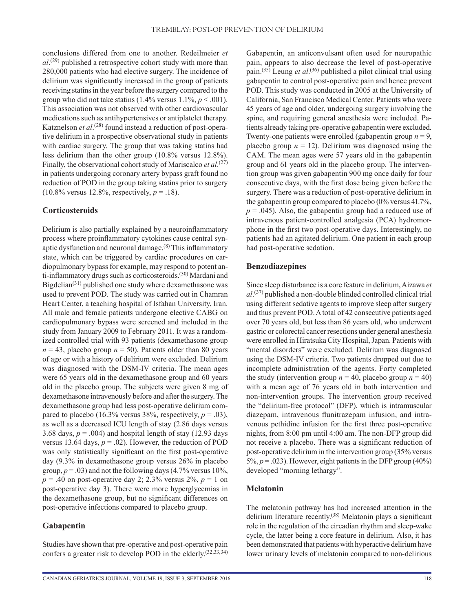conclusions differed from one to another. Redeilmeier *et al*. (29) published a retrospective cohort study with more than 280,000 patients who had elective surgery. The incidence of delirium was significantly increased in the group of patients receiving statins in the year before the surgery compared to the group who did not take statins  $(1.4\% \text{ versus } 1.1\%, p < .001)$ . This association was not observed with other cardiovascular medications such as antihypertensives or antiplatelet therapy. Katznelson *et al*.<sup>(28)</sup> found instead a reduction of post-operative delirium in a prospective observational study in patients with cardiac surgery. The group that was taking statins had less delirium than the other group (10.8% versus 12.8%). Finally, the observational cohort study of Mariscalco *et al*. (27) in patients undergoing coronary artery bypass graft found no reduction of POD in the group taking statins prior to surgery  $(10.8\% \text{ versus } 12.8\% \text{, respectively, } p = .18).$ 

#### **Corticosteroids**

Delirium is also partially explained by a neuroinflammatory process where proinflammatory cytokines cause central synaptic dysfunction and neuronal damage.(8) This inflammatory state, which can be triggered by cardiac procedures on cardiopulmonary bypass for example, may respond to potent anti-inflammatory drugs such as corticosteroids.<sup>(30)</sup> Mardani and Bigdelian $(31)$  published one study where dexamethasone was used to prevent POD. The study was carried out in Chamran Heart Center, a teaching hospital of Isfahan University, Iran. All male and female patients undergone elective CABG on cardiopulmonary bypass were screened and included in the study from January 2009 to February 2011. It was a randomized controlled trial with 93 patients (dexamethasone group  $n = 43$ , placebo group  $n = 50$ ). Patients older than 80 years of age or with a history of delirium were excluded. Delirium was diagnosed with the DSM-IV criteria. The mean ages were 65 years old in the dexamethasone group and 60 years old in the placebo group. The subjects were given 8 mg of dexamethasone intravenously before and after the surgery. The dexamethasone group had less post-operative delirium compared to placebo (16.3% versus 38%, respectively,  $p = .03$ ), as well as a decreased ICU length of stay (2.86 days versus 3.68 days,  $p = .004$ ) and hospital length of stay (12.93 days versus 13.64 days,  $p = .02$ ). However, the reduction of POD was only statistically significant on the first post-operative day (9.3% in dexamethasone group versus 26% in placebo group,  $p = .03$ ) and not the following days  $(4.7\% \text{ versus } 10\%$ ,  $p = .40$  on post-operative day 2; 2.3% versus 2%,  $p = 1$  on post-operative day 3). There were more hyperglycemias in the dexamethasone group, but no significant differences on post-operative infections compared to placebo group.

#### **Gabapentin**

Studies have shown that pre-operative and post-operative pain confers a greater risk to develop POD in the elderly.<sup>(32,33,34)</sup> Gabapentin, an anticonvulsant often used for neuropathic pain, appears to also decrease the level of post-operative pain.<sup>(35)</sup> Leung *et al*.<sup>(36)</sup> published a pilot clinical trial using gabapentin to control post-operative pain and hence prevent POD. This study was conducted in 2005 at the University of California, San Francisco Medical Center. Patients who were 45 years of age and older, undergoing surgery involving the spine, and requiring general anesthesia were included. Patients already taking pre-operative gabapentin were excluded. Twenty-one patients were enrolled (gabapentin group  $n = 9$ , placebo group  $n = 12$ ). Delirium was diagnosed using the CAM. The mean ages were 57 years old in the gabapentin group and 61 years old in the placebo group. The intervention group was given gabapentin 900 mg once daily for four consecutive days, with the first dose being given before the surgery. There was a reduction of post-operative delirium in the gabapentin group compared to placebo (0% versus 41.7%,  $p = .045$ ). Also, the gabapentin group had a reduced use of intravenous patient-controlled analgesia (PCA) hydromorphone in the first two post-operative days. Interestingly, no patients had an agitated delirium. One patient in each group had post-operative sedation.

#### **Benzodiazepines**

Since sleep disturbance is a core feature in delirium, Aizawa *et al*. (37) published a non-double blinded controlled clinical trial using different sedative agents to improve sleep after surgery and thus prevent POD. A total of 42 consecutive patients aged over 70 years old, but less than 86 years old, who underwent gastric or colorectal cancer resections under general anesthesia were enrolled in Hiratsuka City Hospital, Japan. Patients with "mental disorders" were excluded. Delirium was diagnosed using the DSM-IV criteria. Two patients dropped out due to incomplete administration of the agents. Forty completed the study (intervention group  $n = 40$ , placebo group  $n = 40$ ) with a mean age of 76 years old in both intervention and non-intervention groups. The intervention group received the "delirium-free protocol" (DFP), which is intramuscular diazepam, intravenous flunitrazepam infusion, and intravenous pethidine infusion for the first three post-operative nights, from 8:00 pm until 4:00 am. The non-DFP group did not receive a placebo. There was a significant reduction of post-operative delirium in the intervention group (35% versus 5%,  $p = .023$ ). However, eight patients in the DFP group (40%) developed "morning lethargy".

#### **Melatonin**

The melatonin pathway has had increased attention in the delirium literature recently.<sup>(38)</sup> Melatonin plays a significant role in the regulation of the circadian rhythm and sleep-wake cycle, the latter being a core feature in delirium. Also, it has been demonstrated that patients with hyperactive delirium have lower urinary levels of melatonin compared to non-delirious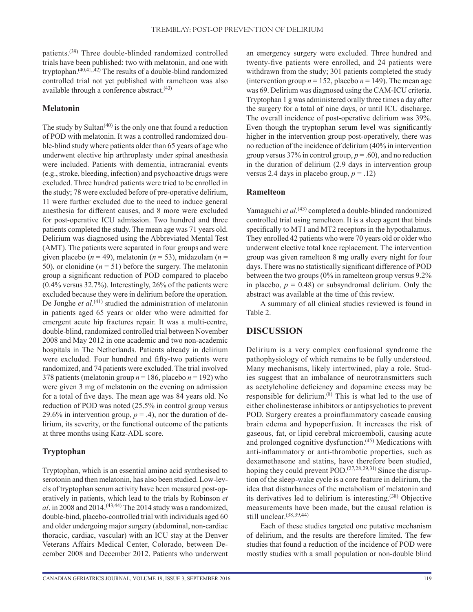patients.(39) Three double-blinded randomized controlled trials have been published: two with melatonin, and one with tryptophan. $(40,41,42)$  The results of a double-blind randomized controlled trial not yet published with ramelteon was also available through a conference abstract. $(43)$ 

### **Melatonin**

The study by Sultan $(40)$  is the only one that found a reduction of POD with melatonin. It was a controlled randomized double-blind study where patients older than 65 years of age who underwent elective hip arthroplasty under spinal anesthesia were included. Patients with dementia, intracranial events (e.g., stroke, bleeding, infection) and psychoactive drugs were excluded. Three hundred patients were tried to be enrolled in the study; 78 were excluded before of pre-operative delirium, 11 were further excluded due to the need to induce general anesthesia for different causes, and 8 more were excluded for post-operative ICU admission. Two hundred and three patients completed the study. The mean age was 71 years old. Delirium was diagnosed using the Abbreviated Mental Test (AMT). The patients were separated in four groups and were given placebo ( $n = 49$ ), melatonin ( $n = 53$ ), midazolam ( $n =$ 50), or clonidine  $(n = 51)$  before the surgery. The melatonin group a significant reduction of POD compared to placebo (0.4% versus 32.7%). Interestingly, 26% of the patients were excluded because they were in delirium before the operation. De Jonghe et al.<sup>(41)</sup> studied the administration of melatonin in patients aged 65 years or older who were admitted for emergent acute hip fractures repair. It was a multi-centre, double-blind, randomized controlled trial between November 2008 and May 2012 in one academic and two non-academic hospitals in The Netherlands. Patients already in delirium were excluded. Four hundred and fifty-two patients were randomized, and 74 patients were excluded. The trial involved 378 patients (melatonin group  $n = 186$ , placebo  $n = 192$ ) who were given 3 mg of melatonin on the evening on admission for a total of five days. The mean age was 84 years old. No reduction of POD was noted (25.5% in control group versus 29.6% in intervention group,  $p = .4$ ), nor the duration of delirium, its severity, or the functional outcome of the patients at three months using Katz-ADL score.

# **Tryptophan**

Tryptophan, which is an essential amino acid synthesised to serotonin and then melatonin, has also been studied. Low-levels of tryptophan serum activity have been measured post-operatively in patients, which lead to the trials by Robinson *et al*. in 2008 and 2014.(43,44) The 2014 study was a randomized, double-bind, placebo-controlled trial with individuals aged 60 and older undergoing major surgery (abdominal, non-cardiac thoracic, cardiac, vascular) with an ICU stay at the Denver Veterans Affairs Medical Center, Colorado, between December 2008 and December 2012. Patients who underwent an emergency surgery were excluded. Three hundred and twenty-five patients were enrolled, and 24 patients were withdrawn from the study; 301 patients completed the study (intervention group  $n = 152$ , placebo  $n = 149$ ). The mean age was 69. Delirium was diagnosed using the CAM-ICU criteria. Tryptophan 1 g was administered orally three times a day after the surgery for a total of nine days, or until ICU discharge. The overall incidence of post-operative delirium was 39%. Even though the tryptophan serum level was significantly higher in the intervention group post-operatively, there was no reduction of the incidence of delirium (40% in intervention group versus 37% in control group, *p* = .60), and no reduction in the duration of delirium (2.9 days in intervention group versus 2.4 days in placebo group,  $p = .12$ )

# **Ramelteon**

Yamaguchi et al.<sup>(43)</sup> completed a double-blinded randomized controlled trial using ramelteon. It is a sleep agent that binds specifically to MT1 and MT2 receptors in the hypothalamus. They enrolled 42 patients who were 70 years old or older who underwent elective total knee replacement. The intervention group was given ramelteon 8 mg orally every night for four days. There was no statistically significant difference of POD between the two groups (0% in ramelteon group versus 9.2% in placebo,  $p = 0.48$ ) or subsyndromal delirium. Only the abstract was available at the time of this review.

A summary of all clinical studies reviewed is found in Table 2.

# **DISCUSSION**

Delirium is a very complex confusional syndrome the pathophysiology of which remains to be fully understood. Many mechanisms, likely intertwined, play a role. Studies suggest that an imbalance of neurotransmitters such as acetylcholine deficiency and dopamine excess may be responsible for delirium.(8) This is what led to the use of either cholinesterase inhibitors or antipsychotics to prevent POD. Surgery creates a proinflammatory cascade causing brain edema and hypoperfusion. It increases the risk of gaseous, fat, or lipid cerebral microemboli, causing acute and prolonged cognitive dysfunction.(45) Medications with anti-inflammatory or anti-thrombotic properties, such as dexamethasone and statins, have therefore been studied, hoping they could prevent POD.<sup>(27,28,29,31)</sup> Since the disruption of the sleep-wake cycle is a core feature in delirium, the idea that disturbances of the metabolism of melatonin and its derivatives led to delirium is interesting.(38) Objective measurements have been made, but the causal relation is still unclear.(38,39,44)

Each of these studies targeted one putative mechanism of delirium, and the results are therefore limited. The few studies that found a reduction of the incidence of POD were mostly studies with a small population or non-double blind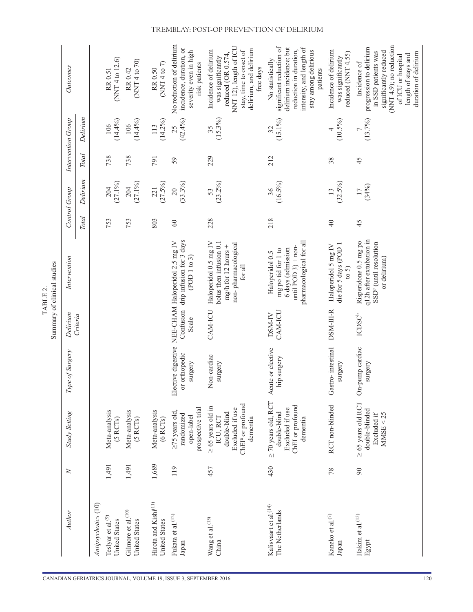|                                                        |        |                                                                                                                    |                                  |                    | Summary of clinical studies<br>TABLE <sub>2</sub>                                                               |                 |                               |              |                    |                                                                                                                                                                                         |
|--------------------------------------------------------|--------|--------------------------------------------------------------------------------------------------------------------|----------------------------------|--------------------|-----------------------------------------------------------------------------------------------------------------|-----------------|-------------------------------|--------------|--------------------|-----------------------------------------------------------------------------------------------------------------------------------------------------------------------------------------|
| Author                                                 | $\geq$ | <b>Study Setting</b>                                                                                               | Type of Surgery                  | Delirium           | Intervention                                                                                                    |                 | Control Group                 |              | Intervention Group | Outcomes                                                                                                                                                                                |
|                                                        |        |                                                                                                                    |                                  | Criteria           |                                                                                                                 | <b>Total</b>    | Delirium                      | <b>Total</b> | Delirium           |                                                                                                                                                                                         |
| Antipsychotics (10)                                    |        |                                                                                                                    |                                  |                    |                                                                                                                 |                 |                               |              |                    |                                                                                                                                                                                         |
| Teslyar et al. <sup>(9)</sup><br>United States         | 1,491  | Meta-analysis<br>(5 RCTs)                                                                                          |                                  |                    |                                                                                                                 | 753             | $(27.1\%)$<br>204             | 738          | $(14.4\%)$<br>106  | (NNT 4 to 12.6)<br>RR 0.51                                                                                                                                                              |
| Gilmore et al. <sup>(10)</sup><br><b>United States</b> | 1,491  | Meta-analysis<br>(5 RCTs)                                                                                          |                                  |                    |                                                                                                                 | 753             | $(27.1\%)$<br>204             | 738          | (14.4%)<br>106     | (NNT 4 to 70)<br>RR 0.42                                                                                                                                                                |
| Hirota and Kishi <sup>(11)</sup><br>United States      | 1,689  | Meta-analysis<br>(6 RCTs)                                                                                          |                                  |                    |                                                                                                                 | 803             | $(27.5\%)$<br>221             | 791          | $(14.2\%)$<br>113  | (NNT 4 to 7)<br>RR 0.50                                                                                                                                                                 |
| Fukata et al. <sup>(12)</sup><br>Japan                 | 119    | prospective trial<br>$\geq$ 75 years old,<br>randomized<br>open-label                                              | or orthopedic<br>surgery         | Scale              | Confusion drip infusion for 3 days<br>Elective digestive NEE-CHAM Haloperidol 2.5 mg IV<br>(POD1 to 3)          | $60\,$          | (33.3%)<br>20                 | 59           | (42.4%)<br>25      | No reduction of delirium<br>incidence, duration, or<br>severity even in high<br>risk patients                                                                                           |
| Wang et al. <sup>(13)</sup><br>China                   | 457    | ChEI <sup>a</sup> or profound<br>$\geq 65$ years old in<br>Excluded if use<br>double-blind<br>ICU, RCT<br>dementia | Non-cardiac<br>surgery           | CAM-ICU            | Haloperidol 0.5 mg IV<br>bolus then infusion 0.1<br>non-pharmacological<br>mg/h for 12 hours +<br>for all       | 228             | (23.2%)<br>53                 | 229          | $(15.3\%)$<br>35   | NNT 12), length of ICU<br>delirium, and delirium<br>Incidence of delirium<br>stay, time to onset of<br>reduced (OR 0.574,<br>was significantly<br>free days                             |
| Kalisvaart et al. <sup>(14)</sup><br>The Netherlands   | 430    | $\geq$ 70 years old, RCT<br>ChEI or profound<br>Excluded if use<br>double-blind<br>dementia                        | Acute or elective<br>hip surgery | CAM-ICU<br>DSM-IV  | pharmacological for all<br>until POD $3$ ) + non-<br>6 days (admission<br>mg po tid for 1 to<br>Haloperidol 0.5 | 218             | $(16.5\%)$<br>36              | 212          | $(15.1\%)$<br>32   | significant reduction of<br>intensity, and length of<br>delirium incidence; but<br>reduction in duration,<br>stay among delirious<br>No statistically<br>patients                       |
| Kaneko et al. $^{(7)}$<br>Japan                        | 78     | RCT non-blinded                                                                                                    | Gastro-intestinal<br>surgery     | DSM-III-R          | die for 5 days (POD 1<br>Haloperidol 5 mg IV<br>$\frac{1}{5}$                                                   | $\overline{40}$ | $(32.5\%)$<br>$\overline{13}$ | 38           | $(10.5\%)$         | Incidence of delirium<br>reduced (NNT 4.55)<br>was significantly                                                                                                                        |
| Hakim et al. <sup>(15)</sup><br>Egypt                  | $90\,$ | $\geq$ 65 years old RCT<br>double-blinded<br>MMSE < 25<br>Excluded if                                              | On-pump cardiac<br>surgery       | ICDSC <sup>b</sup> | q12h after extubation in<br>Risperidone 0.5 mg po<br>SSD <sup>c</sup> (until resolution<br>or delirium)         | 45              | (34%)<br>$\overline{17}$      | 45           | (13.7%)            | (NNT 4.9); no reduction<br>progression to delirium<br>significantly reduced<br>in SSD patients was<br>duration of delirium<br>length of stays and<br>of ICU or hospital<br>Incidence of |

CANADIAN GERIATRICS JOURNAL, VOLUME 19, ISSUE 3, SEPTEMBER 2016

# TREMBLAY: POST-OP PREVENTION OF DELIRIUM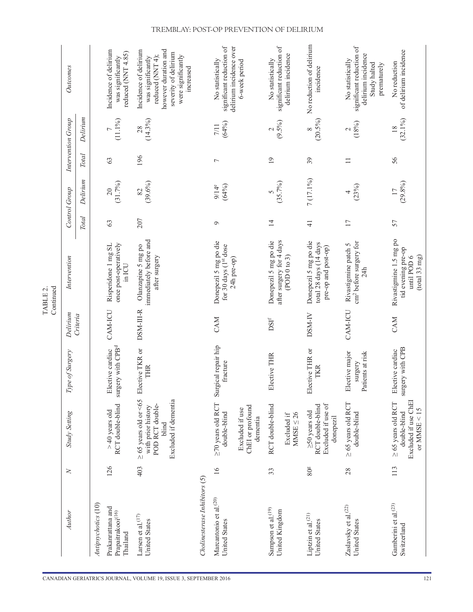|                                                            |                 |                                                                                                      |                                                       |                             | Continued<br>TABLE <sub>2</sub>                                              |                 |                               |                 |                        |                                                                                                                                                   |
|------------------------------------------------------------|-----------------|------------------------------------------------------------------------------------------------------|-------------------------------------------------------|-----------------------------|------------------------------------------------------------------------------|-----------------|-------------------------------|-----------------|------------------------|---------------------------------------------------------------------------------------------------------------------------------------------------|
| Author                                                     | $\geq$          | <b>Study Setting</b>                                                                                 | Type of Surgery                                       | Delirium                    | Intervention                                                                 |                 | Control Group                 |                 | Intervention Group     | Outcomes                                                                                                                                          |
|                                                            |                 |                                                                                                      |                                                       | Criteria                    |                                                                              | <b>Total</b>    | Delirium                      | <b>Total</b>    | Delirium               |                                                                                                                                                   |
| Antipsychotics (10)                                        |                 |                                                                                                      |                                                       |                             |                                                                              |                 |                               |                 |                        |                                                                                                                                                   |
| Prakanrattana and<br>Prapaitrakooi(16)<br>Thailand         | 126             | RCT double-blind<br>$>$ 40 years old                                                                 | gery with CPB <sup>d</sup><br>Elective cardiac<br>sur | CAM-ICU                     | once post-operatively<br>Risperidone 1 mg SL<br>in ICU                       | 63              | (31.7%)<br>$\gtrsim$          | 63              | $(11.1\%)$             | Incidence of delirium<br>reduced (NNT 4.85)<br>was significantly                                                                                  |
| Larsen et al. $(17)$<br>United States                      | 403             | $\geq$ 65 years old or <65<br>Excluded if dementia<br>POD RCT double-<br>with prior history<br>blind | Elective TKR or<br>THR                                | DSM-III-R                   | immediately before and<br>Olanzapine 5 mg po<br>after surgery                | 207             | $(39.6\%)$<br>82              | 196             | $(14.3\%)$<br>28       | however duration and<br>Incidence of delirium<br>severity of delirium<br>were significantly<br>reduced (NNT 4);<br>was significantly<br>increased |
| Cholinesterase Inhibitors (5)                              |                 |                                                                                                      |                                                       |                             |                                                                              |                 |                               |                 |                        |                                                                                                                                                   |
| Marcantonio et al. <sup>(20)</sup><br><b>United States</b> | $\geq$          | $\geq$ 70 years old RCT<br>double-blind                                                              | Surgical repair hip<br>fracture                       | <b>CAM</b>                  | Donepezil 5 mg po die<br>for 30 days (1st dose                               | $\sigma$        | (64%)<br>$9/14^e$             | $\overline{ }$  | (64%)<br>$7/11$        | significant reduction of<br>No statistically                                                                                                      |
|                                                            |                 | ChEI or profound<br>Excluded if use<br>dementia                                                      |                                                       |                             | 24h pre-op)                                                                  |                 |                               |                 |                        | delirium incidence over<br>6-week period                                                                                                          |
| Sampson et al. <sup>(19)</sup><br>United Kingdom           | 33              | RCT double-blind                                                                                     | Elective THR                                          | $\mathrm{DSI}^{\mathrm{f}}$ | after surgery for 4 days<br>Donepezil 5 mg po die                            | $\overline{4}$  | (35.7%)                       | $\overline{19}$ | $(9.5\%)$              | significant reduction of<br>No statistically                                                                                                      |
|                                                            |                 | MMSE $\leq 26$<br>Excluded if                                                                        |                                                       |                             | (POD0 to 3)                                                                  |                 |                               |                 |                        | delirium incidence                                                                                                                                |
| Liptzin et al. <sup>(21)</sup><br>United States            | 80 <sup>g</sup> | Excluded if use of<br>RCT double-blind<br>$\geq$ 50 years old<br>donepezil                           | Elective THR or<br>TKR                                | DSM-IV                      | Donepezil 5 mg po die<br>total 28 days (14 days<br>pre-op and post-op)       | $\frac{1}{4}$   | 7 (17.1%)                     | 39              | $(20.5\%)$<br>$\infty$ | No reduction of delirium<br>incidence                                                                                                             |
| Zaslavsky et al. <sup>(22)</sup><br><b>United States</b>   | 28              | $\geq$ 65 years old RCT<br>double-blind                                                              | Elective major<br>Patients at risk<br>surgery         | CAM-ICU                     | cm <sup>2</sup> before surgery for<br>Rivastigmine patch 5<br>24h            | $\overline{11}$ | (23%)                         | $\equiv$        | (18%)<br>$\mathcal{L}$ | significant reduction of<br>delirium incidence<br>No statistically<br>Study halted<br>prematurely                                                 |
| Gamberini et al. <sup>(23)</sup><br>Switzerland            | 113             | Excluded if use ChEI<br>$\geq$ 65 years old RCT<br>or MMSE $<15$<br>double-blind                     | surgery with CPB<br>Elective cardiac                  | CAM                         | Rivastigmine 1.5 mg po<br>tid evening pre-op<br>until POD 6<br>(total 33 mg) | 57              | $(29.8\%)$<br>$\overline{17}$ | 56              | $(32.1\%)$             | of delirium incidence<br>No reduction                                                                                                             |

# TREMBLAY: POST-OP PREVENTION OF DELIRIUM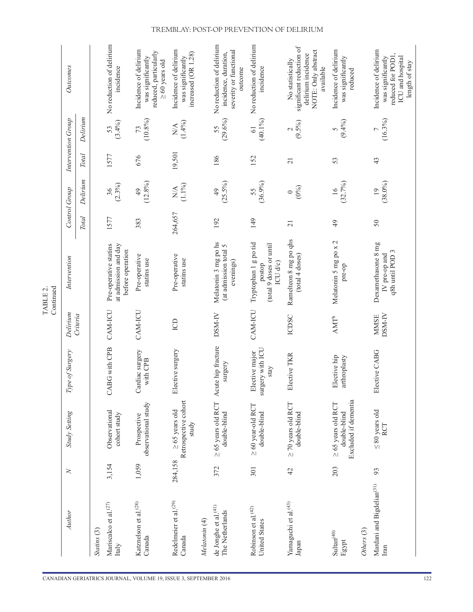|                                                         |         |                                                                 |                                            |                             | Continued<br>TABLE <sub>2</sub>                                        |                 |                               |                 |                                                                |                                                                                                        |
|---------------------------------------------------------|---------|-----------------------------------------------------------------|--------------------------------------------|-----------------------------|------------------------------------------------------------------------|-----------------|-------------------------------|-----------------|----------------------------------------------------------------|--------------------------------------------------------------------------------------------------------|
| Author                                                  | $\geq$  | Study Setting                                                   | Type of Surgery                            | Delirium                    | Intervention                                                           |                 | Control Group                 |                 | Intervention Group                                             | Outcomes                                                                                               |
|                                                         |         |                                                                 |                                            | Criteria                    |                                                                        | <b>Total</b>    | Delirium                      | <b>Total</b>    | Delirium                                                       |                                                                                                        |
| Statins (3)                                             |         |                                                                 |                                            |                             |                                                                        |                 |                               |                 |                                                                |                                                                                                        |
| Mariscalco et al. <sup>(27)</sup><br>Italy              | 3,154   | Observational<br>cohort study                                   | <b>CABG</b> with CPB                       | CAM-ICU                     | Pre-operative statins<br>at admission and day<br>before operation      | 1577            | $(2.3\%)$<br>36               | 1577            | $(3.4\%)$<br>53                                                | No reduction of delirium<br>incidence                                                                  |
| Katznelson et al. <sup>(28)</sup><br>Canada             | 1,059   | observational study<br>Prospective                              | Cardiac surgery<br>with CPB                | CAM-ICU                     | Pre-operative<br>statins use                                           | 383             | $(12.8\%)$<br>49              | 676             | $(10.8\%)$<br>73                                               | Incidence of delirium<br>reduced, particularly<br>was significantly<br>$\geq 60$ years old             |
| Redelmeier et al. <sup>(29)</sup><br>Canada             | 284,158 | Retrospective cohort<br>$\geq 65$ years old<br>study            | ective surgery<br>囩                        | <b>CD</b>                   | Pre-operative<br>statins use                                           | 264,657         | $(1.1\%)$<br>$\sum^\Delta$    | 19,501          | $(1.4\%)$<br>$\mathop{\mathbb{N}}\nolimits\mathop{\mathbb{A}}$ | Incidence of delirium<br>increased (OR 1.28)<br>was significantly                                      |
| Melatonin (4)                                           |         |                                                                 |                                            |                             |                                                                        |                 |                               |                 |                                                                |                                                                                                        |
| de Jonghe et al. <sup>(41)</sup><br>The Netherlands     | 372     | $\geq$ 65 years old RCT<br>double-blind                         | Acute hip fracture<br>surgery              | DSM-IV                      | Melatonin 3 mg po hs<br>(at admission total 5<br>evenings)             | 192             | $(25.5\%)$<br>49              | 186             | (29.6%)<br>55                                                  | No reduction of delirium<br>severity or functional<br>incidence, duration,<br>outcome                  |
| Robinson et al. <sup>(42)</sup><br><b>United States</b> | 301     | $\geq$ 60 year-old RCT<br>double-blind                          | surgery with ICU<br>Elective major<br>stay | CAM-ICU                     | Tryptophan 1 g po tid<br>(total 9 doses or until<br>ICU d/c)<br>postop | 149             | (36.9%)<br>55                 | 152             | (40.1%)<br>$\overline{6}$                                      | No reduction of delirium<br>incidence                                                                  |
| Yamaguchi et al. <sup>(43)</sup><br>Japan               | 42      | $\geq$ 70 years old RCT<br>double-blind                         | Elective TKR                               | <b>ICDSC</b>                | Ramelteon 8 mg po qhs<br>(total 4 doses)                               | $\overline{21}$ | $(0\%)$<br>$\circ$            | $\overline{21}$ | $\frac{2}{(9.5\%)}$                                            | significant reduction of<br>NOTE: Only abstract<br>delirium incidence<br>No statistically<br>available |
| $\mathrm{Sultan}^{(40)}$<br>Egypt                       | 203     | Excluded if dementia<br>$\geq$ 65 years old RCT<br>double-blind | Elective hip<br>arthroplasty               | $\mathsf{AMT}^{\mathrm{h}}$ | Melatonin 5 mg po x 2<br>pre-op                                        | $\overline{6}$  | (32.7%)<br>$\frac{6}{1}$      | 53              | $(9.4\%)$<br>5                                                 | Incidence of delirium<br>was significantly<br>reduced                                                  |
| Others <sup>(3)</sup>                                   |         |                                                                 |                                            |                             |                                                                        |                 |                               |                 |                                                                |                                                                                                        |
| Mardani and Bigdelian <sup>(31)</sup><br>Iran           | 93      | $\leq 80$ years old<br><b>RCT</b>                               | Elective CABG                              | DSM-IV<br><b>MMSE</b>       | Dexamethasone 8 mg<br>q8h until POD 3<br>IV pre-op and                 | $50\,$          | $(38.0\%)$<br>$\overline{19}$ | 43              | $(16.3\%)$                                                     | Incidence of delirium<br>reduced for POD1,<br>ICU and hospital<br>was significantly<br>length of stay  |

# TREMBLAY: POST-OP PREVENTION OF DELIRIUM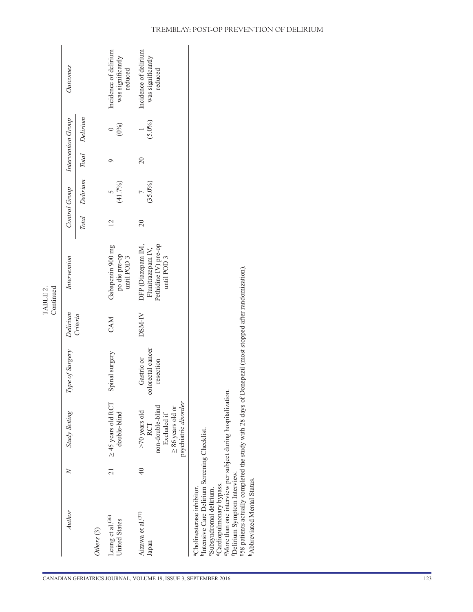|                                                                                                                                                                                                                                                                                                                                                                                                                |                |                                                                                                             |                                              |          | Continued<br>TABLE 2.                                                                     |                 |               |                 |                    |                                                       |
|----------------------------------------------------------------------------------------------------------------------------------------------------------------------------------------------------------------------------------------------------------------------------------------------------------------------------------------------------------------------------------------------------------------|----------------|-------------------------------------------------------------------------------------------------------------|----------------------------------------------|----------|-------------------------------------------------------------------------------------------|-----------------|---------------|-----------------|--------------------|-------------------------------------------------------|
| Author                                                                                                                                                                                                                                                                                                                                                                                                         | $\geq$         | Study Setting                                                                                               | Type of Surgery                              | Delirium | Intervention                                                                              |                 | Control Group |                 | Intervention Group | Outcomes                                              |
|                                                                                                                                                                                                                                                                                                                                                                                                                |                |                                                                                                             |                                              | Criteria |                                                                                           | <b>Total</b>    | Delirium      | <b>Total</b>    | Delirium           |                                                       |
| Others (3)                                                                                                                                                                                                                                                                                                                                                                                                     |                |                                                                                                             |                                              |          |                                                                                           |                 |               |                 |                    |                                                       |
| Leung et al. <sup>(36)</sup><br>United States                                                                                                                                                                                                                                                                                                                                                                  | $\overline{c}$ | $\geq$ 45 years old RCT<br>double-blind                                                                     | Spinal surgery                               | CAM      | Gabapentin 900 mg<br>po die pre-op<br>until POD 3                                         | $\overline{2}$  | (41.7%)       | ⊝               | $(0\%)$            | Incidence of delirium<br>was significantly<br>reduced |
| Aizawa et al. <sup>(37)</sup><br>Japan                                                                                                                                                                                                                                                                                                                                                                         | $\frac{1}{4}$  | psychiatric disorder<br>non-double-blind<br>$\geq 86$ years old or<br>$>70$ years old<br>Excluded if<br>RCT | colorectal cancer<br>Gastric or<br>resection | DSM-IV   | Pethidine IV) pre-op<br>DFP (Diazepam IM,<br>Flunitrazepam <sub>IV</sub> ,<br>until POD 3 | $\overline{20}$ | $(35.0\%)$    | $\overline{20}$ | $(5.0\%)$          | Incidence of delirium<br>was significantly<br>reduced |
| gS8 patients actually completed the study with 28 days of Donepezil (most stopped after randomization).<br>"More than one interview per subject during hospitalization.<br><sup>b</sup> Intensive Care Delirium Screening Checklist.<br>Delirium Symptom Interview.<br><sup>h</sup> Abbreviated Mental Status.<br><sup>d</sup> Cardiopulmonary bypass.<br>aCholinesterase inhibitor.<br>Subsyndromal delirium. |                |                                                                                                             |                                              |          |                                                                                           |                 |               |                 |                    |                                                       |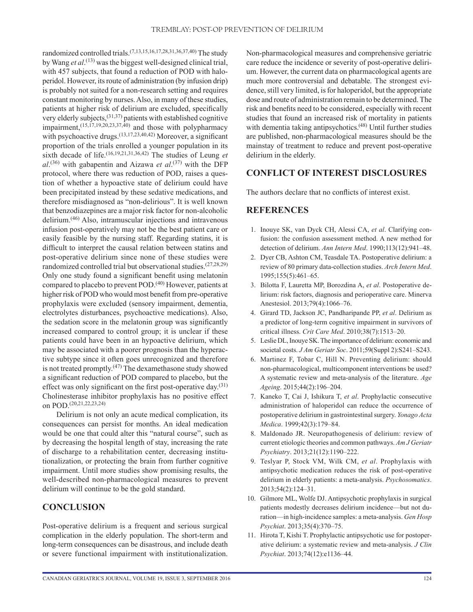randomized controlled trials.(7,13,15,16,17,28,31,36,37,40) The study by Wang *et al*. (13) was the biggest well-designed clinical trial, with 457 subjects, that found a reduction of POD with haloperidol. However, its route of administration (by infusion drip) is probably not suited for a non-research setting and requires constant monitoring by nurses. Also, in many of these studies, patients at higher risk of delirium are excluded, specifically very elderly subjects,  $(31,37)$  patients with established cognitive impairment, $(15,17,19,20,23,37,40)$  and those with polypharmacy with psychoactive drugs.<sup>(13,17,23,40,42)</sup> Moreover, a significant proportion of the trials enrolled a younger population in its sixth decade of life.<sup>(16,19,21,31,36,42)</sup> The studies of Leung *et al*. (36) with gabapentin and Aizawa *et al*. (37) with the DFP protocol, where there was reduction of POD, raises a question of whether a hypoactive state of delirium could have been precipitated instead by these sedative medications, and therefore misdiagnosed as "non-delirious". It is well known that benzodiazepines are a major risk factor for non-alcoholic delirium.(46) Also, intramuscular injections and intravenous infusion post-operatively may not be the best patient care or easily feasible by the nursing staff. Regarding statins, it is difficult to interpret the causal relation between statins and post-operative delirium since none of these studies were randomized controlled trial but observational studies. $(27,28,29)$ Only one study found a significant benefit using melatonin compared to placebo to prevent POD.<sup>(40)</sup> However, patients at higher risk of POD who would most benefit from pre-operative prophylaxis were excluded (sensory impairment, dementia, electrolytes disturbances, psychoactive medications). Also, the sedation score in the melatonin group was significantly increased compared to control group; it is unclear if these patients could have been in an hypoactive delirium, which may be associated with a poorer prognosis than the hyperactive subtype since it often goes unrecognized and therefore is not treated promptly.<sup> $(47)$ </sup> The dexamethasone study showed a significant reduction of POD compared to placebo, but the effect was only significant on the first post-operative day. $(31)$ Cholinesterase inhibitor prophylaxis has no positive effect on POD.(20,21,22,23,24)

Delirium is not only an acute medical complication, its consequences can persist for months. An ideal medication would be one that could alter this "natural course", such as by decreasing the hospital length of stay, increasing the rate of discharge to a rehabilitation center, decreasing institutionalization, or protecting the brain from further cognitive impairment. Until more studies show promising results, the well-described non-pharmacological measures to prevent delirium will continue to be the gold standard.

# **CONCLUSION**

Post-operative delirium is a frequent and serious surgical complication in the elderly population. The short-term and long-term consequences can be disastrous, and include death or severe functional impairment with institutionalization. Non-pharmacological measures and comprehensive geriatric care reduce the incidence or severity of post-operative delirium. However, the current data on pharmacological agents are much more controversial and debatable. The strongest evidence, still very limited, is for haloperidol, but the appropriate dose and route of administration remain to be determined. The risk and benefits need to be considered, especially with recent studies that found an increased risk of mortality in patients with dementia taking antipsychotics.<sup>(48)</sup> Until further studies are published, non-pharmacological measures should be the mainstay of treatment to reduce and prevent post-operative delirium in the elderly.

# **CONFLICT OF INTEREST DISCLOSURES**

The authors declare that no conflicts of interest exist.

# **REFERENCES**

- 1. Inouye SK, van Dyck CH, Alessi CA, *et al*. Clarifying confusion: the confusion assessment method. A new method for detection of delirium. *Ann Intern Med*. 1990;113(12):941–48.
- 2. Dyer CB, Ashton CM, Teasdale TA. Postoperative delirium: a review of 80 primary data-collection studies. *Arch Intern Med*. 1995;155(5):461–65.
- 3. Bilotta F, Lauretta MP, Borozdina A, *et al*. Postoperative delirium: risk factors, diagnosis and perioperative care. Minerva Anestesiol. 2013;79(4):1066–76.
- 4. Girard TD, Jackson JC, Pandharipande PP, *et al*. Delirium as a predictor of long-term cognitive impairment in survivors of critical illness. *Crit Care Med*. 2010;38(7):1513–20.
- 5. Leslie DL, Inouye SK. The importance of delirium: economic and societal costs. *J Am Geriatr Soc*. 2011;59(Suppl 2):S241–S243.
- 6. Martinez F, Tobar C, Hill N. Preventing delirium: should non-pharmacological, multicomponent interventions be used? A systematic review and meta-analysis of the literature. *Age Ageing*. 2015;44(2):196–204.
- 7. Kaneko T, Cai J, Ishikura T, *et al*. Prophylactic consecutive administration of haloperidol can reduce the occurrence of postoperative delirium in gastrointestinal surgery. *Yonago Acta Medica*. 1999;42(3):179–84.
- 8. Maldonado JR. Neuropathogenesis of delirium: review of current etiologic theories and common pathways. *Am J Geriatr Psychiatry*. 2013;21(12):1190–222.
- 9. Teslyar P, Stock VM, Wilk CM, *et al*. Prophylaxis with antipsychotic medication reduces the risk of post-operative delirium in elderly patients: a meta-analysis. *Psychosomatics*. 2013;54(2):124–31.
- 10. Gilmore ML, Wolfe DJ. Antipsychotic prophylaxis in surgical patients modestly decreases delirium incidence—but not duration—in high-incidence samples: a meta-analysis. *Gen Hosp Psychiat*. 2013;35(4):370–75.
- 11. Hirota T, Kishi T. Prophylactic antipsychotic use for postoperative delirium: a systematic review and meta-analysis. *J Clin Psychiat*. 2013;74(12):e1136–44.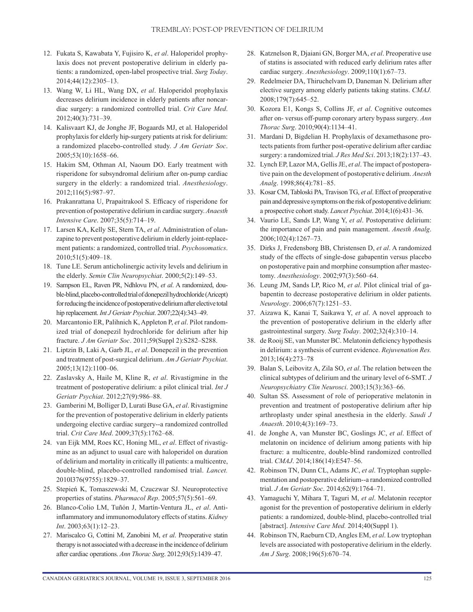- 12. Fukata S, Kawabata Y, Fujisiro K, *et al*. Haloperidol prophylaxis does not prevent postoperative delirium in elderly patients: a randomized, open-label prospective trial. *Surg Today*. 2014;44(12):2305–13.
- 13. Wang W, Li HL, Wang DX, *et al*. Haloperidol prophylaxis decreases delirium incidence in elderly patients after noncardiac surgery: a randomized controlled trial. *Crit Care Med*. 2012;40(3):731–39.
- 14. Kalisvaart KJ, de Jonghe JF, Bogaards MJ, et al. Haloperidol prophylaxis for elderly hip-surgery patients at risk for delirium: a randomized placebo-controlled study. *J Am Geriatr Soc*. 2005;53(10):1658–66.
- 15. Hakim SM, Othman AI, Naoum DO. Early treatment with risperidone for subsyndromal delirium after on-pump cardiac surgery in the elderly: a randomized trial. *Anesthesiology*. 2012;116(5):987–97.
- 16. Prakanrattana U, Prapaitrakool S. Efficacy of risperidone for prevention of postoperative delirium in cardiac surgery. *Anaesth Intensive Care*. 2007;35(5):714–19.
- 17. Larsen KA, Kelly SE, Stern TA, *et al*. Administration of olanzapine to prevent postoperative delirium in elderly joint-replacement patients: a randomized, controlled trial. *Psychosomatics*. 2010;51(5):409–18.
- 18. Tune LE. Serum anticholinergic activity levels and delirium in the elderly. *Semin Clin Neuropsychiat*. 2000;5(2):149–53.
- 19. Sampson EL, Raven PR, Ndhlovu PN, *et al*. A randomized, double-blind, placebo-controlled trial of donepezil hydrochloride (Aricept) for reducing the incidence of postoperative delirium after elective total hip replacement. *Int J Geriatr Psychiat*. 2007;22(4):343–49.
- 20. Marcantonio ER, Palihnich K, Appleton P, *et al*. Pilot randomized trial of donepezil hydrochloride for delirium after hip fracture. *J Am Geriatr Soc*. 2011;59(Suppl 2):S282–S288.
- 21. Liptzin B, Laki A, Garb JL, *et al*. Donepezil in the prevention and treatment of post-surgical delirium. *Am J Geriatr Psychiat*. 2005;13(12):1100–06.
- 22. Zaslavsky A, Haile M, Kline R, *et al*. Rivastigmine in the treatment of postoperative delirium: a pilot clinical trial. *Int J Geriatr Psychiat*. 2012;27(9):986–88.
- 23. Gamberini M, Bolliger D, Lurati Buse GA, *et al*. Rivastigmine for the prevention of postoperative delirium in elderly patients undergoing elective cardiac surgery--a randomized controlled trial. *Crit Care Med*. 2009;37(5):1762–68.
- 24. van Eijk MM, Roes KC, Honing ML, *et al*. Effect of rivastigmine as an adjunct to usual care with haloperidol on duration of delirium and mortality in critically ill patients: a multicentre, double-blind, placebo-controlled randomised trial. *Lancet.* 2010l376(9755):1829–37.
- 25. Stepień K, Tomaszewski M, Czuczwar SJ. Neuroprotective properties of statins. *Pharmacol Rep*. 2005;57(5):561–69.
- 26. Blanco-Colio LM, Tuñón J, Martín-Ventura JL, *et al*. Antiinflammatory and immunomodulatory effects of statins. *Kidney Int*. 2003;63(1):12–23.
- 27. Mariscalco G, Cottini M, Zanobini M, *et al*. Preoperative statin therapy is not associated with a decrease in the incidence of delirium after cardiac operations. *Ann Thorac Surg*. 2012;93(5):1439–47.
- 28. Katznelson R, Djaiani GN, Borger MA, *et al*. Preoperative use of statins is associated with reduced early delirium rates after cardiac surgery. *Anesthesiology*. 2009;110(1):67–73.
- 29. Redelmeier DA, Thiruchelvam D, Daneman N. Delirium after elective surgery among elderly patients taking statins. *CMAJ.* 2008;179(7):645–52.
- 30. Kozora E1, Kongs S, Collins JF, *et al*. Cognitive outcomes after on- versus off-pump coronary artery bypass surgery. *Ann Thorac Surg*. 2010;90(4):1134–41.
- 31. Mardani D, Bigdelian H. Prophylaxis of dexamethasone protects patients from further post-operative delirium after cardiac surgery: a randomized trial. *J Res Med Sci*. 2013;18(2):137–43.
- 32. Lynch EP, Lazor MA, Gellis JE, *et al*. The impact of postoperative pain on the development of postoperative delirium. *Anesth Analg*. 1998;86(4):781–85.
- 33. Kosar CM, Tabloski PA, Travison TG, *et al*. Effect of preoperative pain and depressive symptoms on the risk of postoperative delirium: a prospective cohort study. *Lancet Psychiat*. 2014;1(6):431–36.
- 34. Vaurio LE, Sands LP, Wang Y, *et al*. Postoperative delirium: the importance of pain and pain management. *Anesth Analg*. 2006;102(4):1267–73.
- 35. Dirks J, Fredensborg BB, Christensen D, *et al*. A randomized study of the effects of single-dose gabapentin versus placebo on postoperative pain and morphine consumption after mastectomy. *Anesthesiology*. 2002;97(3):560–64.
- 36. Leung JM, Sands LP, Rico M, *et al*. Pilot clinical trial of gabapentin to decrease postoperative delirium in older patients. *Neurology*. 2006;67(7):1251–53.
- 37. Aizawa K, Kanai T, Saikawa Y, *et al*. A novel approach to the prevention of postoperative delirium in the elderly after gastrointestinal surgery. *Surg Today*. 2002;32(4):310–14.
- 38. de Rooij SE, van Munster BC. Melatonin deficiency hypothesis in delirium: a synthesis of current evidence. *Rejuvenation Res.* 2013;16(4):273–78
- 39. Balan S, Leibovitz A, Zila SO, *et al*. The relation between the clinical subtypes of delirium and the urinary level of 6-SMT. *J Neuropsychiatry Clin Neurosci*. 2003;15(3):363–66.
- 40. Sultan SS. Assessment of role of perioperative melatonin in prevention and treatment of postoperative delirium after hip arthroplasty under spinal anesthesia in the elderly. *Saudi J Anaesth*. 2010;4(3):169–73.
- 41. de Jonghe A, van Munster BC, Goslings JC, *et al*. Effect of melatonin on incidence of delirium among patients with hip fracture: a multicentre, double-blind randomized controlled trial. *CMAJ*. 2014;186(14):E547–56.
- 42. Robinson TN, Dunn CL, Adams JC, *et al*. Tryptophan supplementation and postoperative delirium--a randomized controlled trial. *J Am Geriatr Soc*. 2014;62(9):1764–71.
- 43. Yamaguchi Y, Mihara T, Taguri M, *et al*. Melatonin receptor agonist for the prevention of postoperative delirium in elderly patients: a randomized, double-blind, placebo-controlled trial [abstract]. *Intensive Care Med.* 2014;40(Suppl 1).
- 44. Robinson TN, Raeburn CD, Angles EM, *et al*. Low tryptophan levels are associated with postoperative delirium in the elderly. *Am J Surg*. 2008;196(5):670–74.